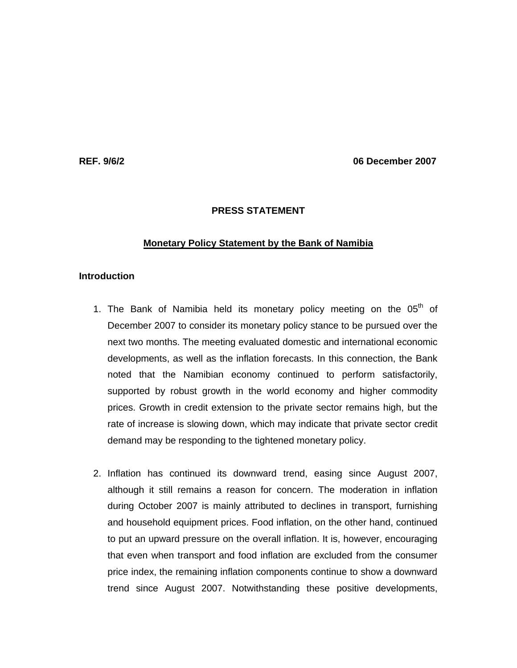**REF. 9/6/2 06 December 2007** 

## **PRESS STATEMENT**

### **Monetary Policy Statement by the Bank of Namibia**

# **Introduction**

- 1. The Bank of Namibia held its monetary policy meeting on the  $05<sup>th</sup>$  of December 2007 to consider its monetary policy stance to be pursued over the next two months. The meeting evaluated domestic and international economic developments, as well as the inflation forecasts. In this connection, the Bank noted that the Namibian economy continued to perform satisfactorily, supported by robust growth in the world economy and higher commodity prices. Growth in credit extension to the private sector remains high, but the rate of increase is slowing down, which may indicate that private sector credit demand may be responding to the tightened monetary policy.
- 2. Inflation has continued its downward trend, easing since August 2007, although it still remains a reason for concern. The moderation in inflation during October 2007 is mainly attributed to declines in transport, furnishing and household equipment prices. Food inflation, on the other hand, continued to put an upward pressure on the overall inflation. It is, however, encouraging that even when transport and food inflation are excluded from the consumer price index, the remaining inflation components continue to show a downward trend since August 2007. Notwithstanding these positive developments,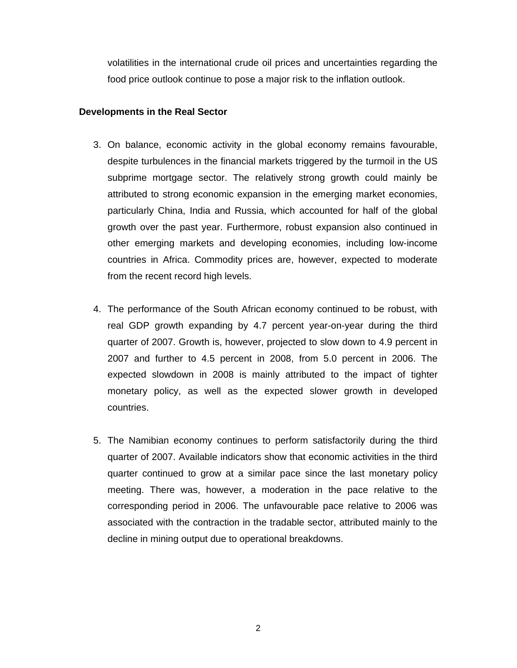volatilities in the international crude oil prices and uncertainties regarding the food price outlook continue to pose a major risk to the inflation outlook.

# **Developments in the Real Sector**

- 3. On balance, economic activity in the global economy remains favourable, despite turbulences in the financial markets triggered by the turmoil in the US subprime mortgage sector. The relatively strong growth could mainly be attributed to strong economic expansion in the emerging market economies, particularly China, India and Russia, which accounted for half of the global growth over the past year. Furthermore, robust expansion also continued in other emerging markets and developing economies, including low-income countries in Africa. Commodity prices are, however, expected to moderate from the recent record high levels.
- 4. The performance of the South African economy continued to be robust, with real GDP growth expanding by 4.7 percent year-on-year during the third quarter of 2007. Growth is, however, projected to slow down to 4.9 percent in 2007 and further to 4.5 percent in 2008, from 5.0 percent in 2006. The expected slowdown in 2008 is mainly attributed to the impact of tighter monetary policy, as well as the expected slower growth in developed countries.
- 5. The Namibian economy continues to perform satisfactorily during the third quarter of 2007. Available indicators show that economic activities in the third quarter continued to grow at a similar pace since the last monetary policy meeting. There was, however, a moderation in the pace relative to the corresponding period in 2006. The unfavourable pace relative to 2006 was associated with the contraction in the tradable sector, attributed mainly to the decline in mining output due to operational breakdowns.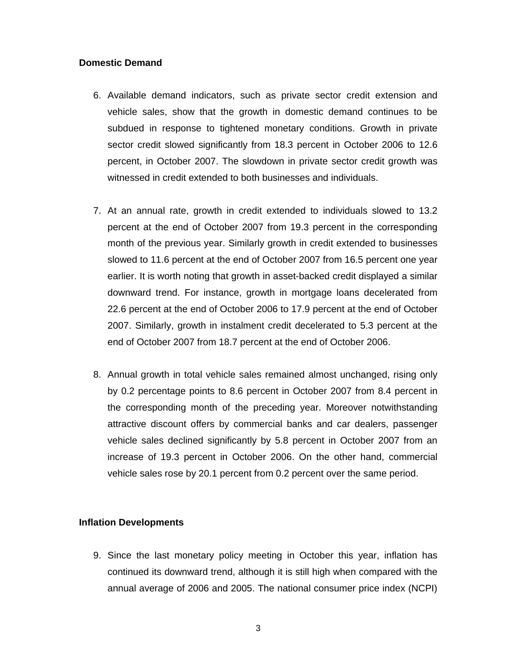# **Domestic Demand**

- 6. Available demand indicators, such as private sector credit extension and vehicle sales, show that the growth in domestic demand continues to be subdued in response to tightened monetary conditions. Growth in private sector credit slowed significantly from 18.3 percent in October 2006 to 12.6 percent, in October 2007. The slowdown in private sector credit growth was witnessed in credit extended to both businesses and individuals.
- 7. At an annual rate, growth in credit extended to individuals slowed to 13.2 percent at the end of October 2007 from 19.3 percent in the corresponding month of the previous year. Similarly growth in credit extended to businesses slowed to 11.6 percent at the end of October 2007 from 16.5 percent one year earlier. It is worth noting that growth in asset-backed credit displayed a similar downward trend. For instance, growth in mortgage loans decelerated from 22.6 percent at the end of October 2006 to 17.9 percent at the end of October 2007. Similarly, growth in instalment credit decelerated to 5.3 percent at the end of October 2007 from 18.7 percent at the end of October 2006.
- 8. Annual growth in total vehicle sales remained almost unchanged, rising only by 0.2 percentage points to 8.6 percent in October 2007 from 8.4 percent in the corresponding month of the preceding year. Moreover notwithstanding attractive discount offers by commercial banks and car dealers, passenger vehicle sales declined significantly by 5.8 percent in October 2007 from an increase of 19.3 percent in October 2006. On the other hand, commercial vehicle sales rose by 20.1 percent from 0.2 percent over the same period.

## **Inflation Developments**

9. Since the last monetary policy meeting in October this year, inflation has continued its downward trend, although it is still high when compared with the annual average of 2006 and 2005. The national consumer price index (NCPI)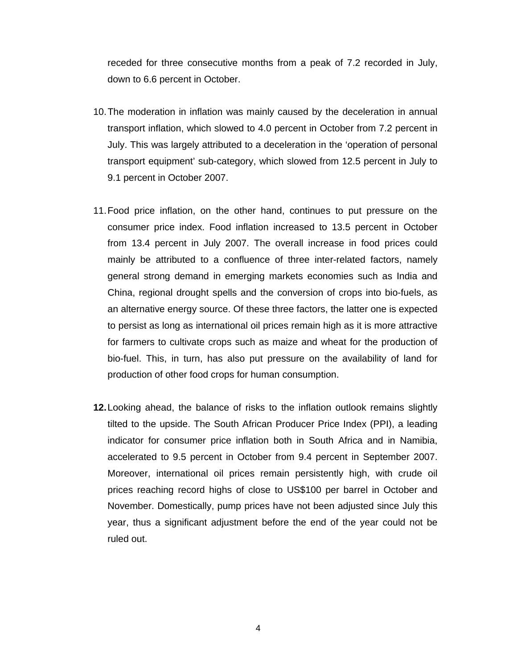receded for three consecutive months from a peak of 7.2 recorded in July, down to 6.6 percent in October.

- 10. The moderation in inflation was mainly caused by the deceleration in annual transport inflation, which slowed to 4.0 percent in October from 7.2 percent in July. This was largely attributed to a deceleration in the 'operation of personal transport equipment' sub-category, which slowed from 12.5 percent in July to 9.1 percent in October 2007.
- 11. Food price inflation, on the other hand, continues to put pressure on the consumer price index. Food inflation increased to 13.5 percent in October from 13.4 percent in July 2007. The overall increase in food prices could mainly be attributed to a confluence of three inter-related factors, namely general strong demand in emerging markets economies such as India and China, regional drought spells and the conversion of crops into bio-fuels, as an alternative energy source. Of these three factors, the latter one is expected to persist as long as international oil prices remain high as it is more attractive for farmers to cultivate crops such as maize and wheat for the production of bio-fuel. This, in turn, has also put pressure on the availability of land for production of other food crops for human consumption.
- **12.** Looking ahead, the balance of risks to the inflation outlook remains slightly tilted to the upside. The South African Producer Price Index (PPI), a leading indicator for consumer price inflation both in South Africa and in Namibia, accelerated to 9.5 percent in October from 9.4 percent in September 2007. Moreover, international oil prices remain persistently high, with crude oil prices reaching record highs of close to US\$100 per barrel in October and November. Domestically, pump prices have not been adjusted since July this year, thus a significant adjustment before the end of the year could not be ruled out.